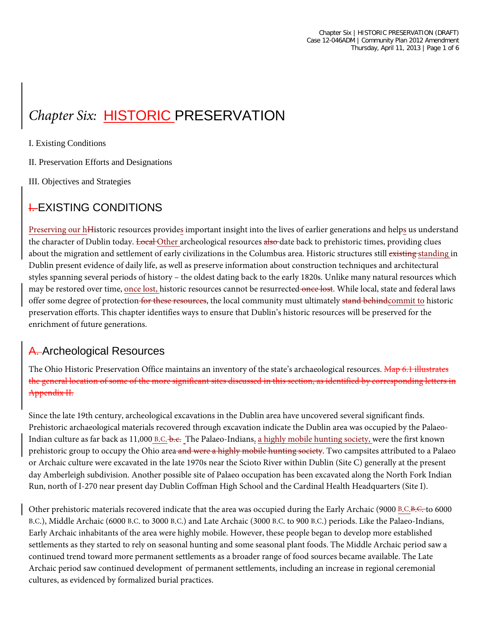# **Chapter Six: HISTORIC PRESERVATION**

I. Existing Conditions

II. Preservation Efforts and Designations

III. Objectives and Strategies

# **LEXISTING CONDITIONS**

Preserving our hHistoric resources provides important insight into the lives of earlier generations and helps us understand the character of Dublin today. Local Other archeological resources also date back to prehistoric times, providing clues about the migration and settlement of early civilizations in the Columbus area. Historic structures still existing standing in Dublin present evidence of daily life, as well as preserve information about construction techniques and architectural styles spanning several periods of history – the oldest dating back to the early 1820s. Unlike many natural resources which may be restored over time, once lost, historic resources cannot be resurrected once lost. While local, state and federal laws offer some degree of protection for these resources, the local community must ultimately stand behindcommit to historic preservation efforts. This chapter identifies ways to ensure that Dublin's historic resources will be preserved for the enrichment of future generations.

## A. Archeological Resources

The Ohio Historic Preservation Office maintains an inventory of the state's archaeological resources. Map 6.1 illustrates the general location of some of the more significant sites discussed in this section, as identified by corresponding letters in Appendix II.

Since the late 19th century, archeological excavations in the Dublin area have uncovered several significant finds. Prehistoric archaeological materials recovered through excavation indicate the Dublin area was occupied by the Palaeo-Indian culture as far back as 11,000 B.C. b.c. The Palaeo-Indians, a highly mobile hunting society, were the first known prehistoric group to occupy the Ohio area and were a highly mobile hunting society. Two campsites attributed to a Palaeo or Archaic culture were excavated in the late 1970s near the Scioto River within Dublin (Site C) generally at the present day Amberleigh subdivision. Another possible site of Palaeo occupation has been excavated along the North Fork Indian Run, north of I-270 near present day Dublin Coffman High School and the Cardinal Health Headquarters (Site I).

Other prehistoric materials recovered indicate that the area was occupied during the Early Archaic (9000 B.C.B.C. to 6000 B.C.), Middle Archaic (6000 B.C. to 3000 B.C.) and Late Archaic (3000 B.C. to 900 B.C.) periods. Like the Palaeo-Indians, Early Archaic inhabitants of the area were highly mobile. However, these people began to develop more established settlements as they started to rely on seasonal hunting and some seasonal plant foods. The Middle Archaic period saw a continued trend toward more permanent settlements as a broader range of food sources became available. The Late Archaic period saw continued development of permanent settlements, including an increase in regional ceremonial cultures, as evidenced by formalized burial practices.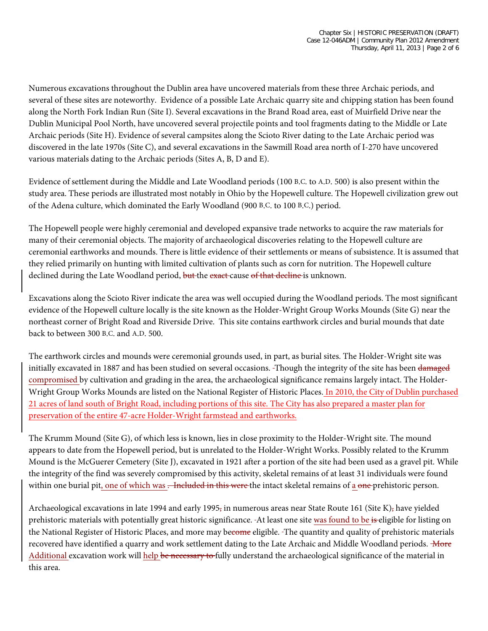Numerous excavations throughout the Dublin area have uncovered materials from these three Archaic periods, and several of these sites are noteworthy. Evidence of a possible Late Archaic quarry site and chipping station has been found along the North Fork Indian Run (Site I). Several excavations in the Brand Road area, east of Muirfield Drive near the Dublin Municipal Pool North, have uncovered several projectile points and tool fragments dating to the Middle or Late Archaic periods (Site H). Evidence of several campsites along the Scioto River dating to the Late Archaic period was discovered in the late 1970s (Site C), and several excavations in the Sawmill Road area north of I-270 have uncovered various materials dating to the Archaic periods (Sites A, B, D and E).

Evidence of settlement during the Middle and Late Woodland periods (100 B.C. to A.D. 500) is also present within the study area. These periods are illustrated most notably in Ohio by the Hopewell culture. The Hopewell civilization grew out of the Adena culture, which dominated the Early Woodland (900 B.C. to 100 B.C.) period.

The Hopewell people were highly ceremonial and developed expansive trade networks to acquire the raw materials for many of their ceremonial objects. The majority of archaeological discoveries relating to the Hopewell culture are ceremonial earthworks and mounds. There is little evidence of their settlements or means of subsistence. It is assumed that they relied primarily on hunting with limited cultivation of plants such as corn for nutrition. The Hopewell culture declined during the Late Woodland period, but the exact cause of that decline is unknown.

Excavations along the Scioto River indicate the area was well occupied during the Woodland periods. The most significant evidence of the Hopewell culture locally is the site known as the Holder-Wright Group Works Mounds (Site G) near the northeast corner of Bright Road and Riverside Drive. This site contains earthwork circles and burial mounds that date back to between 300 B.C. and A.D. 500.

The earthwork circles and mounds were ceremonial grounds used, in part, as burial sites. The Holder-Wright site was initially excavated in 1887 and has been studied on several occasions. Though the integrity of the site has been damaged compromised by cultivation and grading in the area, the archaeological significance remains largely intact. The Holder-Wright Group Works Mounds are listed on the National Register of Historic Places. In 2010, the City of Dublin purchased 21 acres of land south of Bright Road, including portions of this site. The City has also prepared a master plan for preservation of the entire 47-acre Holder-Wright farmstead and earthworks.

The Krumm Mound (Site G), of which less is known, lies in close proximity to the Holder-Wright site. The mound appears to date from the Hopewell period, but is unrelated to the Holder-Wright Works. Possibly related to the Krumm Mound is the McGuerer Cemetery (Site J), excavated in 1921 after a portion of the site had been used as a gravel pit. While the integrity of the find was severely compromised by this activity, skeletal remains of at least 31 individuals were found within one burial pit, one of which was . Included in this were the intact skeletal remains of a one-prehistoric person.

Archaeological excavations in late 1994 and early 1995, in numerous areas near State Route 161 (Site K), have yielded prehistoric materials with potentially great historic significance. -At least one site was found to be is eligible for listing on the National Register of Historic Places, and more may become eligible. The quantity and quality of prehistoric materials recovered have identified a quarry and work settlement dating to the Late Archaic and Middle Woodland periods. More Additional excavation work will help be necessary to fully understand the archaeological significance of the material in this area.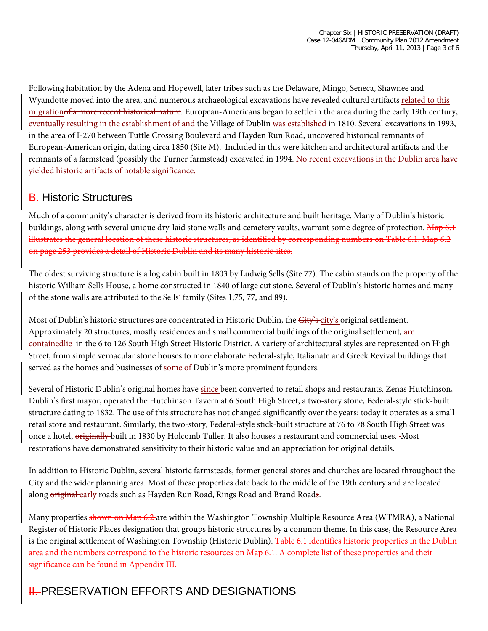Following habitation by the Adena and Hopewell, later tribes such as the Delaware, Mingo, Seneca, Shawnee and Wyandotte moved into the area, and numerous archaeological excavations have revealed cultural artifacts related to this migration<del>of a more recent historical nature</del>. European-Americans began to settle in the area during the early 19th century, eventually resulting in the establishment of and the Village of Dublin was established in 1810. Several excavations in 1993, in the area of I-270 between Tuttle Crossing Boulevard and Hayden Run Road, uncovered historical remnants of European-American origin, dating circa 1850 (Site M). Included in this were kitchen and architectural artifacts and the remnants of a farmstead (possibly the Turner farmstead) excavated in 1994. No recent excavations in the Dublin area have yielded historic artifacts of notable significance.

## **B.** Historic Structures

Much of a community's character is derived from its historic architecture and built heritage. Many of Dublin's historic buildings, along with several unique dry-laid stone walls and cemetery vaults, warrant some degree of protection. Map 6.1 illustrates the general location of these historic structures, as identified by corresponding numbers on Table 6.1. Map 6.2 on page 253 provides a detail of Historic Dublin and its many historic sites.

The oldest surviving structure is a log cabin built in 1803 by Ludwig Sells (Site 77). The cabin stands on the property of the historic William Sells House, a home constructed in 1840 of large cut stone. Several of Dublin's historic homes and many of the stone walls are attributed to the Sells' family (Sites 1,75, 77, and 89).

Most of Dublin's historic structures are concentrated in Historic Dublin, the City's city's original settlement. Approximately 20 structures, mostly residences and small commercial buildings of the original settlement, are containedlie -in the 6 to 126 South High Street Historic District. A variety of architectural styles are represented on High Street, from simple vernacular stone houses to more elaborate Federal-style, Italianate and Greek Revival buildings that served as the homes and businesses of some of Dublin's more prominent founders.

Several of Historic Dublin's original homes have since been converted to retail shops and restaurants. Zenas Hutchinson, Dublin's first mayor, operated the Hutchinson Tavern at 6 South High Street, a two-story stone, Federal-style stick-built structure dating to 1832. The use of this structure has not changed significantly over the years; today it operates as a small retail store and restaurant. Similarly, the two-story, Federal-style stick-built structure at 76 to 78 South High Street was once a hotel, originally built in 1830 by Holcomb Tuller. It also houses a restaurant and commercial uses. Most restorations have demonstrated sensitivity to their historic value and an appreciation for original details.

In addition to Historic Dublin, several historic farmsteads, former general stores and churches are located throughout the City and the wider planning area. Most of these properties date back to the middle of the 19th century and are located along original early roads such as Hayden Run Road, Rings Road and Brand Roads.

Many properties shown on Map 6.2 are within the Washington Township Multiple Resource Area (WTMRA), a National Register of Historic Places designation that groups historic structures by a common theme. In this case, the Resource Area is the original settlement of Washington Township (Historic Dublin). Table 6.1 identifies historic properties in the Dublin area and the numbers correspond to the historic resources on Map 6.1. A complete list of these properties and their significance can be found in Appendix III.

# **IL PRESERVATION EFFORTS AND DESIGNATIONS**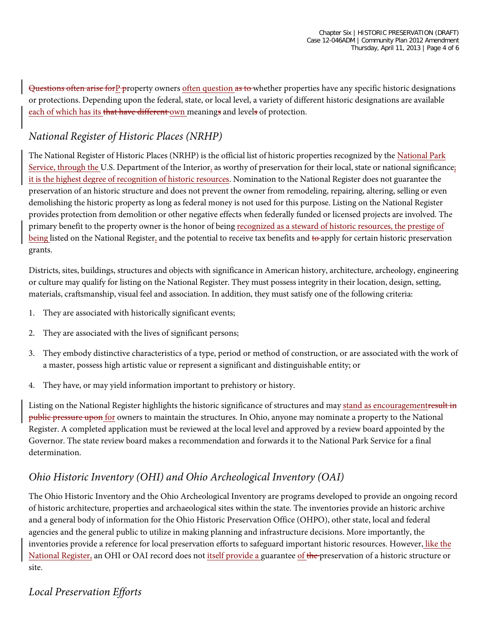Questions often arise forP-property owners often question as to whether properties have any specific historic designations or protections. Depending upon the federal, state, or local level, a variety of different historic designations are available each of which has its that have different own meanings and levels of protection.

#### *National Register of Historic Places (NRHP)*

The National Register of Historic Places (NRHP) is the official list of historic properties recognized by the National Park Service, through the U.S. Department of the Interior, as worthy of preservation for their local, state or national significance; it is the highest degree of recognition of historic resources. Nomination to the National Register does not guarantee the preservation of an historic structure and does not prevent the owner from remodeling, repairing, altering, selling or even demolishing the historic property as long as federal money is not used for this purpose. Listing on the National Register provides protection from demolition or other negative effects when federally funded or licensed projects are involved. The primary benefit to the property owner is the honor of being recognized as a steward of historic resources, the prestige of being listed on the National Register, and the potential to receive tax benefits and to apply for certain historic preservation grants.

Districts, sites, buildings, structures and objects with significance in American history, architecture, archeology, engineering or culture may qualify for listing on the National Register. They must possess integrity in their location, design, setting, materials, craftsmanship, visual feel and association. In addition, they must satisfy one of the following criteria:

- 1. They are associated with historically significant events;
- 2. They are associated with the lives of significant persons;
- 3. They embody distinctive characteristics of a type, period or method of construction, or are associated with the work of a master, possess high artistic value or represent a significant and distinguishable entity; or
- 4. They have, or may yield information important to prehistory or history.

Listing on the National Register highlights the historic significance of structures and may stand as encouragementresult in public pressure upon for owners to maintain the structures. In Ohio, anyone may nominate a property to the National Register. A completed application must be reviewed at the local level and approved by a review board appointed by the Governor. The state review board makes a recommendation and forwards it to the National Park Service for a final determination.

#### *Ohio Historic Inventory (OHI) and Ohio Archeological Inventory (OAI)*

The Ohio Historic Inventory and the Ohio Archeological Inventory are programs developed to provide an ongoing record of historic architecture, properties and archaeological sites within the state. The inventories provide an historic archive and a general body of information for the Ohio Historic Preservation Office (OHPO), other state, local and federal agencies and the general public to utilize in making planning and infrastructure decisions. More importantly, the inventories provide a reference for local preservation efforts to safeguard important historic resources. However, like the National Register, an OHI or OAI record does not itself provide a guarantee of the preservation of a historic structure or site.

## *Local Preservation Efforts*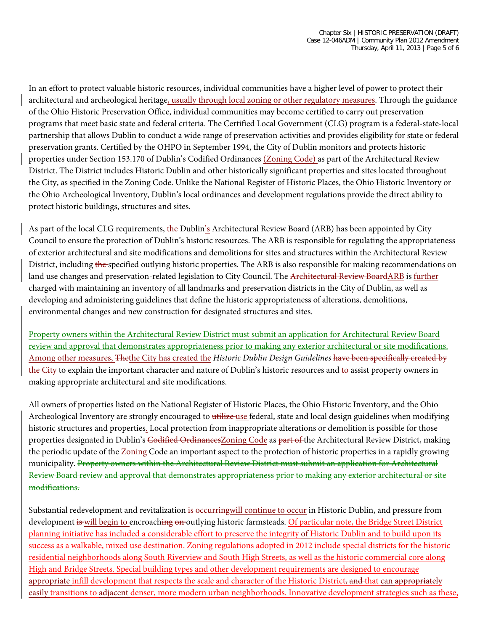In an effort to protect valuable historic resources, individual communities have a higher level of power to protect their architectural and archeological heritage, usually through local zoning or other regulatory measures. Through the guidance of the Ohio Historic Preservation Office, individual communities may become certified to carry out preservation programs that meet basic state and federal criteria. The Certified Local Government (CLG) program is a federal-state-local partnership that allows Dublin to conduct a wide range of preservation activities and provides eligibility for state or federal preservation grants. Certified by the OHPO in September 1994, the City of Dublin monitors and protects historic properties under Section 153.170 of Dublin's Codified Ordinances (Zoning Code) as part of the Architectural Review District. The District includes Historic Dublin and other historically significant properties and sites located throughout the City, as specified in the Zoning Code. Unlike the National Register of Historic Places, the Ohio Historic Inventory or the Ohio Archeological Inventory, Dublin's local ordinances and development regulations provide the direct ability to protect historic buildings, structures and sites.

As part of the local CLG requirements, the Dublin's Architectural Review Board (ARB) has been appointed by City Council to ensure the protection of Dublin's historic resources. The ARB is responsible for regulating the appropriateness of exterior architectural and site modifications and demolitions for sites and structures within the Architectural Review District, including the specified outlying historic properties. The ARB is also responsible for making recommendations on land use changes and preservation-related legislation to City Council. The Architectural Review BoardARB is further charged with maintaining an inventory of all landmarks and preservation districts in the City of Dublin, as well as developing and administering guidelines that define the historic appropriateness of alterations, demolitions, environmental changes and new construction for designated structures and sites.

Property owners within the Architectural Review District must submit an application for Architectural Review Board review and approval that demonstrates appropriateness prior to making any exterior architectural or site modifications. Among other measures, Thethe City has created the *Historic Dublin Design Guidelines* have been specifically created by the City to explain the important character and nature of Dublin's historic resources and to assist property owners in making appropriate architectural and site modifications.

All owners of properties listed on the National Register of Historic Places, the Ohio Historic Inventory, and the Ohio Archeological Inventory are strongly encouraged to utilize use federal, state and local design guidelines when modifying historic structures and properties. Local protection from inappropriate alterations or demolition is possible for those properties designated in Dublin's Codified OrdinancesZoning Code as part of the Architectural Review District, making the periodic update of the <del>Zoning</del> Code an important aspect to the protection of historic properties in a rapidly growing municipality. Property owners within the Architectural Review District must submit an application for Architectural Review Board review and approval that demonstrates appropriateness prior to making any exterior architectural or site modifications.

Substantial redevelopment and revitalization is occurringwill continue to occur in Historic Dublin, and pressure from development is will begin to encroaching on outlying historic farmsteads. Of particular note, the Bridge Street District planning initiative has included a considerable effort to preserve the integrity of Historic Dublin and to build upon its success as a walkable, mixed use destination. Zoning regulations adopted in 2012 include special districts for the historic residential neighborhoods along South Riverview and South High Streets, as well as the historic commercial core along High and Bridge Streets. Special building types and other development requirements are designed to encourage appropriate infill development that respects the scale and character of the Historic District, and that can appropriately easily transitions to adjacent denser, more modern urban neighborhoods. Innovative development strategies such as these,